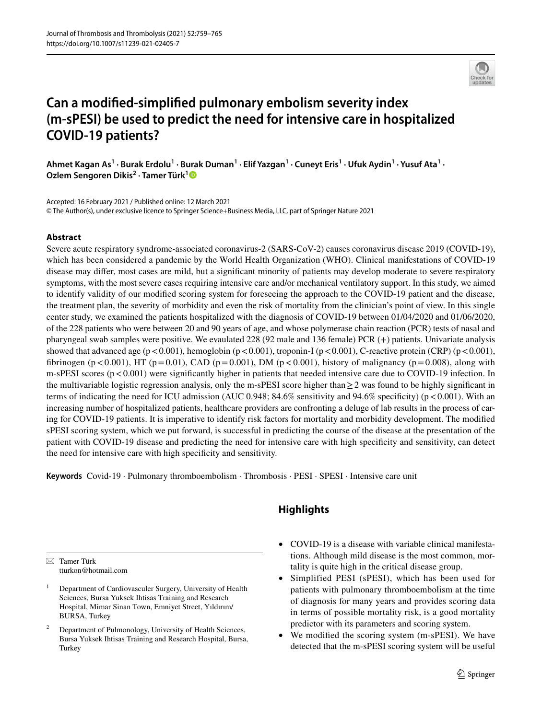

# **Can a modifed‑simplifed pulmonary embolism severity index (m‑sPESI) be used to predict the need for intensive care in hospitalized COVID‑19 patients?**

Ahmet Kagan As<sup>1</sup> · Burak Erdolu<sup>1</sup> · Burak Duman<sup>1</sup> · Elif Yazgan<sup>1</sup> · Cuneyt Eris<sup>1</sup> · Ufuk Aydin<sup>1</sup> · Yusuf Ata<sup>1</sup> · **Ozlem Sengoren Dikis<sup>2</sup> · Tamer Türk[1](http://orcid.org/0000-0003-1668-020X)**

Accepted: 16 February 2021 / Published online: 12 March 2021 © The Author(s), under exclusive licence to Springer Science+Business Media, LLC, part of Springer Nature 2021

## **Abstract**

Severe acute respiratory syndrome-associated coronavirus-2 (SARS-CoV-2) causes coronavirus disease 2019 (COVID-19), which has been considered a pandemic by the World Health Organization (WHO). Clinical manifestations of COVID-19 disease may difer, most cases are mild, but a signifcant minority of patients may develop moderate to severe respiratory symptoms, with the most severe cases requiring intensive care and/or mechanical ventilatory support. In this study, we aimed to identify validity of our modifed scoring system for foreseeing the approach to the COVID-19 patient and the disease, the treatment plan, the severity of morbidity and even the risk of mortality from the clinician's point of view. In this single center study, we examined the patients hospitalized with the diagnosis of COVID-19 between 01/04/2020 and 01/06/2020, of the 228 patients who were between 20 and 90 years of age, and whose polymerase chain reaction (PCR) tests of nasal and pharyngeal swab samples were positive. We evaulated 228 (92 male and 136 female) PCR (+) patients. Univariate analysis showed that advanced age ( $p < 0.001$ ), hemoglobin ( $p < 0.001$ ), troponin-I ( $p < 0.001$ ), C-reactive protein (CRP) ( $p < 0.001$ ), fibrinogen (p < 0.001), HT (p = 0.01), CAD (p = 0.001), DM (p < 0.001), history of malignancy (p = 0.008), along with m-sPESI scores  $(p<0.001)$  were significantly higher in patients that needed intensive care due to COVID-19 infection. In the multivariable logistic regression analysis, only the m-sPESI score higher than  $\geq$  2 was found to be highly significant in terms of indicating the need for ICU admission (AUC 0.948; 84.6% sensitivity and 94.6% specificity) ( $p < 0.001$ ). With an increasing number of hospitalized patients, healthcare providers are confronting a deluge of lab results in the process of caring for COVID-19 patients. It is imperative to identify risk factors for mortality and morbidity development. The modifed sPESI scoring system, which we put forward, is successful in predicting the course of the disease at the presentation of the patient with COVID-19 disease and predicting the need for intensive care with high specifcity and sensitivity, can detect the need for intensive care with high specifcity and sensitivity.

**Keywords** Covid-19 · Pulmonary thromboembolism · Thrombosis · PESI · SPESI · Intensive care unit

## **Highlights**

 $\boxtimes$  Tamer Türk tturkon@hotmail.com

- <sup>2</sup> Department of Pulmonology, University of Health Sciences, Bursa Yuksek Ihtisas Training and Research Hospital, Bursa, Turkey
- COVID-19 is a disease with variable clinical manifestations. Although mild disease is the most common, mortality is quite high in the critical disease group.
- Simplified PESI (sPESI), which has been used for patients with pulmonary thromboembolism at the time of diagnosis for many years and provides scoring data in terms of possible mortality risk, is a good mortality predictor with its parameters and scoring system.
- We modified the scoring system (m-sPESI). We have detected that the m-sPESI scoring system will be useful

<sup>1</sup> Department of Cardiovasculer Surgery, University of Health Sciences, Bursa Yuksek Ihtisas Training and Research Hospital, Mimar Sinan Town, Emniyet Street, Yıldırım/ BURSA, Turkey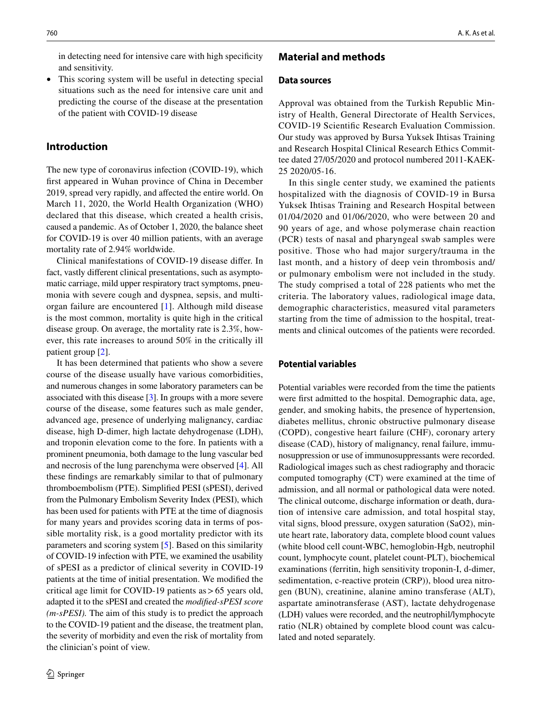in detecting need for intensive care with high specifcity and sensitivity.

• This scoring system will be useful in detecting special situations such as the need for intensive care unit and predicting the course of the disease at the presentation of the patient with COVID-19 disease

## **Introduction**

The new type of coronavirus infection (COVID-19), which frst appeared in Wuhan province of China in December 2019, spread very rapidly, and afected the entire world. On March 11, 2020, the World Health Organization (WHO) declared that this disease, which created a health crisis, caused a pandemic. As of October 1, 2020, the balance sheet for COVID-19 is over 40 million patients, with an average mortality rate of 2.94% worldwide.

Clinical manifestations of COVID-19 disease difer. In fact, vastly diferent clinical presentations, such as asymptomatic carriage, mild upper respiratory tract symptoms, pneumonia with severe cough and dyspnea, sepsis, and multiorgan failure are encountered [[1\]](#page-6-0). Although mild disease is the most common, mortality is quite high in the critical disease group. On average, the mortality rate is 2.3%, however, this rate increases to around 50% in the critically ill patient group [\[2](#page-6-1)].

It has been determined that patients who show a severe course of the disease usually have various comorbidities, and numerous changes in some laboratory parameters can be associated with this disease [[3](#page-6-2)]. In groups with a more severe course of the disease, some features such as male gender, advanced age, presence of underlying malignancy, cardiac disease, high D-dimer, high lactate dehydrogenase (LDH), and troponin elevation come to the fore. In patients with a prominent pneumonia, both damage to the lung vascular bed and necrosis of the lung parenchyma were observed [\[4](#page-6-3)]. All these fndings are remarkably similar to that of pulmonary thromboembolism (PTE). Simplifed PESI (sPESI), derived from the Pulmonary Embolism Severity Index (PESI), which has been used for patients with PTE at the time of diagnosis for many years and provides scoring data in terms of possible mortality risk, is a good mortality predictor with its parameters and scoring system [\[5](#page-6-4)]. Based on this similarity of COVID-19 infection with PTE, we examined the usability of sPESI as a predictor of clinical severity in COVID-19 patients at the time of initial presentation. We modifed the critical age limit for COVID-19 patients as>65 years old, adapted it to the sPESI and created the *modifed-sPESI score (m-sPESI).* The aim of this study is to predict the approach to the COVID-19 patient and the disease, the treatment plan, the severity of morbidity and even the risk of mortality from the clinician's point of view.

## **Material and methods**

#### **Data sources**

Approval was obtained from the Turkish Republic Ministry of Health, General Directorate of Health Services, COVID-19 Scientifc Research Evaluation Commission. Our study was approved by Bursa Yuksek Ihtisas Training and Research Hospital Clinical Research Ethics Committee dated 27/05/2020 and protocol numbered 2011-KAEK-25 2020/05-16.

In this single center study, we examined the patients hospitalized with the diagnosis of COVID-19 in Bursa Yuksek Ihtisas Training and Research Hospital between 01/04/2020 and 01/06/2020, who were between 20 and 90 years of age, and whose polymerase chain reaction (PCR) tests of nasal and pharyngeal swab samples were positive. Those who had major surgery/trauma in the last month, and a history of deep vein thrombosis and/ or pulmonary embolism were not included in the study. The study comprised a total of 228 patients who met the criteria. The laboratory values, radiological image data, demographic characteristics, measured vital parameters starting from the time of admission to the hospital, treatments and clinical outcomes of the patients were recorded.

#### **Potential variables**

Potential variables were recorded from the time the patients were frst admitted to the hospital. Demographic data, age, gender, and smoking habits, the presence of hypertension, diabetes mellitus, chronic obstructive pulmonary disease (COPD), congestive heart failure (CHF), coronary artery disease (CAD), history of malignancy, renal failure, immunosuppression or use of immunosuppressants were recorded. Radiological images such as chest radiography and thoracic computed tomography (CT) were examined at the time of admission, and all normal or pathological data were noted. The clinical outcome, discharge information or death, duration of intensive care admission, and total hospital stay, vital signs, blood pressure, oxygen saturation (SaO2), minute heart rate, laboratory data, complete blood count values (white blood cell count-WBC, hemoglobin-Hgb, neutrophil count, lymphocyte count, platelet count-PLT), biochemical examinations (ferritin, high sensitivity troponin-I, d-dimer, sedimentation, c-reactive protein (CRP)), blood urea nitrogen (BUN), creatinine, alanine amino transferase (ALT), aspartate aminotransferase (AST), lactate dehydrogenase (LDH) values were recorded, and the neutrophil/lymphocyte ratio (NLR) obtained by complete blood count was calculated and noted separately.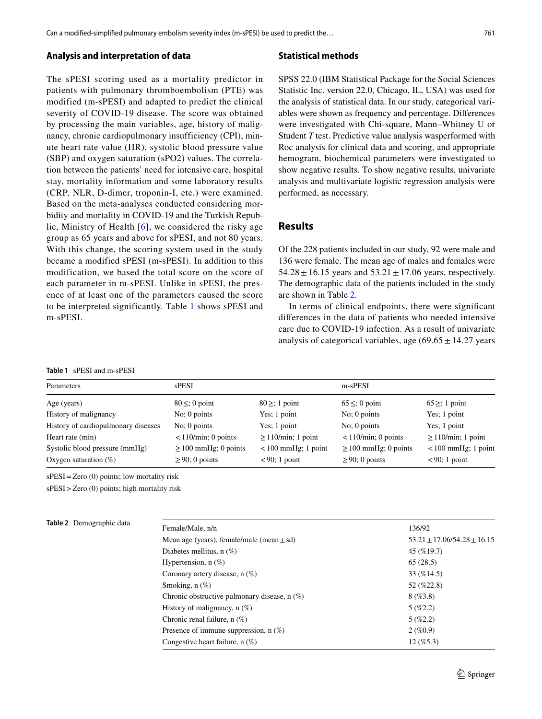#### **Analysis and interpretation of data**

The sPESI scoring used as a mortality predictor in patients with pulmonary thromboembolism (PTE) was modified (m-sPESI) and adapted to predict the clinical severity of COVID-19 disease. The score was obtained by processing the main variables, age, history of malignancy, chronic cardiopulmonary insufficiency (CPI), minute heart rate value (HR), systolic blood pressure value (SBP) and oxygen saturation (sPO2) values. The correlation between the patients' need for intensive care, hospital stay, mortality information and some laboratory results (CRP, NLR, D-dimer, troponin-I, etc.) were examined. Based on the meta-analyses conducted considering morbidity and mortality in COVID-19 and the Turkish Republic, Ministry of Health [[6](#page-6-5)], we considered the risky age group as 65 years and above for sPESI, and not 80 years. With this change, the scoring system used in the study became a modified sPESI (m-sPESI). In addition to this modification, we based the total score on the score of each parameter in m-sPESI. Unlike in sPESI, the presence of at least one of the parameters caused the score to be interpreted significantly. Table [1](#page-2-0) shows sPESI and m-sPESI.

<span id="page-2-0"></span>

| Table 1 sPESI and m-sPESI |  |  |  |
|---------------------------|--|--|--|
|                           |  |  |  |

#### **Statistical methods**

SPSS 22.0 (IBM Statistical Package for the Social Sciences Statistic Inc. version 22.0, Chicago, IL, USA) was used for the analysis of statistical data. In our study, categorical variables were shown as frequency and percentage. Diferences were investigated with Chi-square, Mann–Whitney U or Student *T* test. Predictive value analysis wasperformed with Roc analysis for clinical data and scoring, and appropriate hemogram, biochemical parameters were investigated to show negative results. To show negative results, univariate analysis and multivariate logistic regression analysis were performed, as necessary.

## **Results**

Of the 228 patients included in our study, 92 were male and 136 were female. The mean age of males and females were  $54.28 \pm 16.15$  years and  $53.21 \pm 17.06$  years, respectively. The demographic data of the patients included in the study are shown in Table [2.](#page-2-1)

In terms of clinical endpoints, there were signifcant diferences in the data of patients who needed intensive care due to COVID-19 infection. As a result of univariate analysis of categorical variables, age  $(69.65 \pm 14.27 \text{ years})$ 

| Parameters                          | <b>sPESI</b>              |                         | m-sPESI                      |                         |  |
|-------------------------------------|---------------------------|-------------------------|------------------------------|-------------------------|--|
|                                     |                           |                         |                              |                         |  |
| Age (years)                         | $80 \leq 0$ point         | $80 \geq$ ; 1 point     | $65 \leq$ ; 0 point          | $65 \geq$ ; 1 point     |  |
| History of malignancy               | $No$ ; 0 points           | Yes; 1 point            | $No$ ; 0 points              | Yes; 1 point            |  |
| History of cardiopulmonary diseases | $No$ ; 0 points           | Yes; 1 point            | $No$ ; 0 points              | Yes; 1 point            |  |
| Heart rate (min)                    | $<$ 110/min; 0 points     | $\geq$ 110/min; 1 point | $\langle 110/m$ in; 0 points | $\geq$ 110/min; 1 point |  |
| Systolic blood pressure (mmHg)      | $\geq$ 100 mmHg; 0 points | $< 100$ mmHg; 1 point   | $\geq$ 100 mmHg; 0 points    | $< 100$ mmHg; 1 point   |  |
| Oxygen saturation $(\%)$            | $\geq$ 90; 0 points       | $<90$ ; 1 point         | $\geq$ 90; 0 points          | $<90$ ; 1 point         |  |

sPESI=Zero (0) points; low mortality risk

sPESI>Zero (0) points; high mortality risk

| <b>lable 2</b> Demographic data |  |
|---------------------------------|--|
|                                 |  |

<span id="page-2-1"></span>

| Table 2 Demographic data | Female/Male, n/n                               | 136/92                        |
|--------------------------|------------------------------------------------|-------------------------------|
|                          | Mean age (years), female/male (mean $\pm$ sd)  | $53.21 + 17.06/54.28 + 16.15$ |
|                          | Diabetes mellitus, $n(\%)$                     | 45 (%19.7)                    |
|                          | Hypertension, $n$ (%)                          | 65(28.5)                      |
|                          | Coronary artery disease, $n(\%)$               | 33 (%14.5)                    |
|                          | Smoking, $n$ $(\%)$                            | 52 (%22.8)                    |
|                          | Chronic obstructive pulmonary disease, $n$ (%) | 8(%3.8)                       |
|                          | History of malignancy, $n$ (%)                 | $5($ %2.2)                    |
|                          | Chronic renal failure, $n(\%)$                 | $5($ %2.2)                    |
|                          | Presence of immune suppression, $n$ (%)        | $2($ %0.9)                    |
|                          | Congestive heart failure, $n(\%)$              | $12($ %5.3)                   |
|                          |                                                |                               |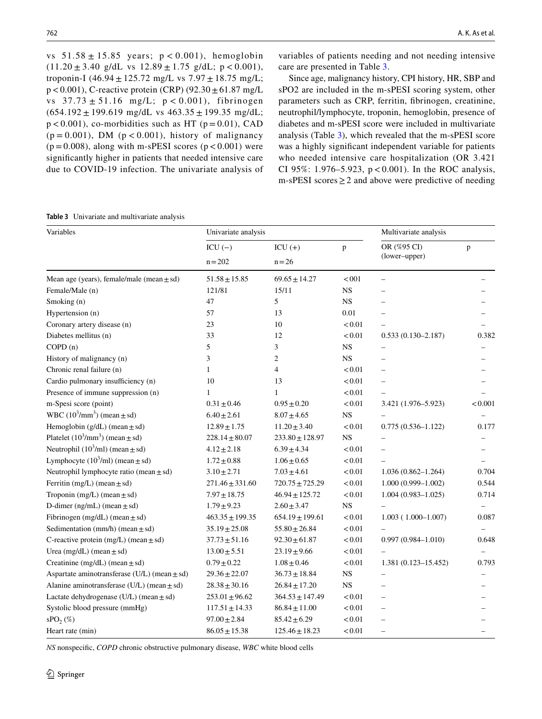vs  $51.58 \pm 15.85$  years;  $p < 0.001$ ), hemoglobin  $(11.20 \pm 3.40 \text{ g/dL vs } 12.89 \pm 1.75 \text{ g/dL; p} < 0.001),$ troponin-I (46.94  $\pm$  125.72 mg/L vs 7.97  $\pm$  18.75 mg/L;  $p < 0.001$ ), C-reactive protein (CRP) (92.30  $\pm$  61.87 mg/L vs  $37.73 \pm 51.16$  mg/L;  $p < 0.001$ ), fibrinogen  $(654.192 \pm 199.619 \text{ mg/dL vs } 463.35 \pm 199.35 \text{ mg/dL};$  $p < 0.001$ ), co-morbidities such as HT ( $p = 0.01$ ), CAD  $(p = 0.001)$ , DM  $(p < 0.001)$ , history of malignancy  $(p=0.008)$ , along with m-sPESI scores  $(p < 0.001)$  were signifcantly higher in patients that needed intensive care due to COVID-19 infection. The univariate analysis of

variables of patients needing and not needing intensive care are presented in Table [3.](#page-3-0)

Since age, malignancy history, CPI history, HR, SBP and sPO2 are included in the m-sPESI scoring system, other parameters such as CRP, ferritin, fbrinogen, creatinine, neutrophil/lymphocyte, troponin, hemoglobin, presence of diabetes and m-sPESI score were included in multivariate analysis (Table [3](#page-3-0)), which revealed that the m-sPESI score was a highly signifcant independent variable for patients who needed intensive care hospitalization (OR 3.421 CI 95%: 1.976–5.923,  $p < 0.001$ ). In the ROC analysis, m-sPESI scores  $\geq$  2 and above were predictive of needing

<span id="page-3-0"></span>

| Table 3 Univariate and multivariate analysis |
|----------------------------------------------|
|----------------------------------------------|

| Variables                                            | Univariate analysis |                     |              | Multivariate analysis    |         |
|------------------------------------------------------|---------------------|---------------------|--------------|--------------------------|---------|
|                                                      | $ICU(-)$            | $ICU(+)$            | $\mathbf{p}$ | OR (%95 CI)              | p       |
|                                                      | $n = 202$           | $n = 26$            |              | (lower-upper)            |         |
| Mean age (years), female/male (mean $\pm$ sd)        | $51.58 \pm 15.85$   | $69.65 \pm 14.27$   | < 001        |                          |         |
| Female/Male (n)                                      | 121/81              | 15/11               | $_{\rm NS}$  |                          |         |
| Smoking (n)                                          | 47                  | 5                   | $_{\rm NS}$  |                          |         |
| Hypertension (n)                                     | 57                  | 13                  | 0.01         |                          |         |
| Coronary artery disease (n)                          | 23                  | 10                  | < 0.01       |                          |         |
| Diabetes mellitus (n)                                | 33                  | 12                  | < 0.01       | $0.533(0.130 - 2.187)$   | 0.382   |
| COPD(n)                                              | 5                   | 3                   | <b>NS</b>    |                          |         |
| History of malignancy (n)                            | 3                   | $\overline{c}$      | <b>NS</b>    |                          |         |
| Chronic renal failure (n)                            | $\mathbf{1}$        | $\overline{4}$      | < 0.01       | L                        |         |
| Cardio pulmonary insufficiency (n)                   | 10                  | 13                  | < 0.01       |                          |         |
| Presence of immune suppression (n)                   | 1                   | $\mathbf{1}$        | < 0.01       |                          |         |
| m-Spesi score (point)                                | $0.31 \pm 0.46$     | $0.95 \pm 0.20$     | < 0.01       | 3.421 (1.976-5.923)      | < 0.001 |
| WBC $(10^3/\text{mm}^3)$ (mean $\pm$ sd)             | $6.40 \pm 2.61$     | $8.07 \pm 4.65$     | <b>NS</b>    |                          |         |
| Hemoglobin $(g/dL)$ (mean $\pm$ sd)                  | $12.89 \pm 1.75$    | $11.20 \pm 3.40$    | < 0.01       | $0.775(0.536 - 1.122)$   | 0.177   |
| Platelet $(10^3/\text{mm}^3)$ (mean $\pm$ sd)        | $228.14 \pm 80.07$  | $233.80 \pm 128.97$ | <b>NS</b>    |                          |         |
| Neutrophil $(10^3$ /ml) (mean $\pm$ sd)              | $4.12 \pm 2.18$     | $6.39 \pm 4.34$     | < 0.01       |                          |         |
| Lymphocyte $(10^3$ /ml) (mean $\pm$ sd)              | $1.72 \pm 0.88$     | $1.06 \pm 0.65$     | < 0.01       |                          |         |
| Neutrophil lymphocyte ratio (mean $\pm$ sd)          | $3.10 \pm 2.71$     | $7.03 \pm 4.61$     | < 0.01       | $1.036(0.862 - 1.264)$   | 0.704   |
| Ferritin (mg/L) (mean $\pm$ sd)                      | $271.46 \pm 331.60$ | $720.75 \pm 725.29$ | < 0.01       | $1.000(0.999 - 1.002)$   | 0.544   |
| Troponin (mg/L) (mean $\pm$ sd)                      | $7.97 \pm 18.75$    | $46.94 \pm 125.72$  | < 0.01       | $1.004(0.983 - 1.025)$   | 0.714   |
| D-dimer ( $ng/mL$ ) (mean $\pm sd$ )                 | $1.79 \pm 9.23$     | $2.60 \pm 3.47$     | $_{\rm NS}$  |                          |         |
| Fibrinogen (mg/dL) (mean $\pm$ sd)                   | $463.35 \pm 199.35$ | $654.19 \pm 199.61$ | < 0.01       | $1.003(1.000-1.007)$     | 0.087   |
| Sedimentation (mm/h) (mean $\pm$ sd)                 | $35.19 \pm 25.08$   | $55.80 \pm 26.84$   | < 0.01       |                          |         |
| C-reactive protein $(mg/L)$ (mean $\pm$ sd)          | $37.73 \pm 51.16$   | $92.30 \pm 61.87$   | < 0.01       | $0.997(0.984 - 1.010)$   | 0.648   |
| Urea $(mg/dL)$ (mean $\pm$ sd)                       | $13.00 \pm 5.51$    | $23.19 \pm 9.66$    | < 0.01       |                          |         |
| Creatinine (mg/dL) (mean $\pm$ sd)                   | $0.79 \pm 0.22$     | $1.08 \pm 0.46$     | < 0.01       | 1.381 (0.123-15.452)     | 0.793   |
| Aspartate aminotransferase ( $U/L$ ) (mean $\pm$ sd) | $29.36 \pm 22.07$   | $36.73 \pm 18.84$   | $_{\rm NS}$  |                          |         |
| Alanine aminotransferase ( $U/L$ ) (mean $\pm$ sd)   | $28.38 \pm 30.16$   | $26.84 \pm 17.20$   | $_{\rm NS}$  |                          |         |
| Lactate dehydrogenase (U/L) (mean $\pm$ sd)          | $253.01 \pm 96.62$  | $364.53 \pm 147.49$ | < 0.01       |                          |         |
| Systolic blood pressure (mmHg)                       | $117.51 \pm 14.33$  | $86.84 \pm 11.00$   | < 0.01       |                          |         |
| SPO <sub>2</sub> (%)                                 | $97.00 \pm 2.84$    | $85.42 \pm 6.29$    | < 0.01       |                          |         |
| Heart rate (min)                                     | $86.05 \pm 15.38$   | $125.46 \pm 18.23$  | < 0.01       | $\overline{\phantom{0}}$ |         |

*NS* nonspecifc, *COPD* chronic obstructive pulmonary disease, *WBC* white blood cells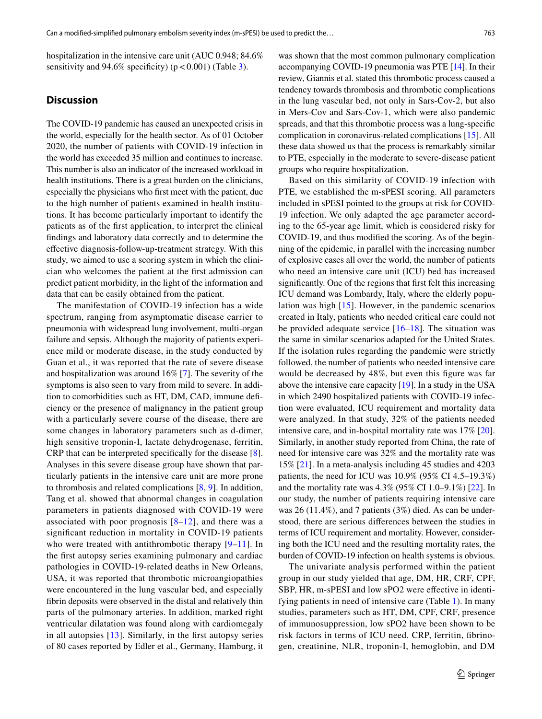hospitalization in the intensive care unit (AUC 0.948; 84.6% sensitivity and 94.6% specificity) ( $p < 0.001$ ) (Table [3](#page-3-0)).

## **Discussion**

The COVID-19 pandemic has caused an unexpected crisis in the world, especially for the health sector. As of 01 October 2020, the number of patients with COVID-19 infection in the world has exceeded 35 million and continues to increase. This number is also an indicator of the increased workload in health institutions. There is a great burden on the clinicians, especially the physicians who frst meet with the patient, due to the high number of patients examined in health institutions. It has become particularly important to identify the patients as of the frst application, to interpret the clinical fndings and laboratory data correctly and to determine the efective diagnosis-follow-up-treatment strategy. With this study, we aimed to use a scoring system in which the clinician who welcomes the patient at the frst admission can predict patient morbidity, in the light of the information and data that can be easily obtained from the patient.

The manifestation of COVID-19 infection has a wide spectrum, ranging from asymptomatic disease carrier to pneumonia with widespread lung involvement, multi-organ failure and sepsis. Although the majority of patients experience mild or moderate disease, in the study conducted by Guan et al., it was reported that the rate of severe disease and hospitalization was around 16% [[7\]](#page-6-6). The severity of the symptoms is also seen to vary from mild to severe. In addition to comorbidities such as HT, DM, CAD, immune defciency or the presence of malignancy in the patient group with a particularly severe course of the disease, there are some changes in laboratory parameters such as d-dimer, high sensitive troponin-I, lactate dehydrogenase, ferritin, CRP that can be interpreted specifcally for the disease [\[8](#page-6-7)]. Analyses in this severe disease group have shown that particularly patients in the intensive care unit are more prone to thrombosis and related complications [[8,](#page-6-7) [9](#page-6-8)]. In addition, Tang et al. showed that abnormal changes in coagulation parameters in patients diagnosed with COVID-19 were associated with poor prognosis  $[8-12]$  $[8-12]$  $[8-12]$  $[8-12]$ , and there was a signifcant reduction in mortality in COVID-19 patients who were treated with antithrombotic therapy [[9–](#page-6-8)[11](#page-6-10)]. In the frst autopsy series examining pulmonary and cardiac pathologies in COVID-19-related deaths in New Orleans, USA, it was reported that thrombotic microangiopathies were encountered in the lung vascular bed, and especially fbrin deposits were observed in the distal and relatively thin parts of the pulmonary arteries. In addition, marked right ventricular dilatation was found along with cardiomegaly in all autopsies [[13](#page-6-11)]. Similarly, in the frst autopsy series of 80 cases reported by Edler et al., Germany, Hamburg, it was shown that the most common pulmonary complication accompanying COVID-19 pneumonia was PTE [\[14\]](#page-6-12). In their review, Giannis et al. stated this thrombotic process caused a tendency towards thrombosis and thrombotic complications in the lung vascular bed, not only in Sars-Cov-2, but also in Mers-Cov and Sars-Cov-1, which were also pandemic spreads, and that this thrombotic process was a lung-specifc complication in coronavirus-related complications [\[15](#page-6-13)]. All these data showed us that the process is remarkably similar to PTE, especially in the moderate to severe-disease patient groups who require hospitalization.

Based on this similarity of COVID-19 infection with PTE, we established the m-sPESI scoring. All parameters included in sPESI pointed to the groups at risk for COVID-19 infection. We only adapted the age parameter according to the 65-year age limit, which is considered risky for COVID-19, and thus modifed the scoring. As of the beginning of the epidemic, in parallel with the increasing number of explosive cases all over the world, the number of patients who need an intensive care unit (ICU) bed has increased signifcantly. One of the regions that frst felt this increasing ICU demand was Lombardy, Italy, where the elderly population was high [[15\]](#page-6-13). However, in the pandemic scenarios created in Italy, patients who needed critical care could not be provided adequate service  $[16–18]$  $[16–18]$  $[16–18]$  $[16–18]$ . The situation was the same in similar scenarios adapted for the United States. If the isolation rules regarding the pandemic were strictly followed, the number of patients who needed intensive care would be decreased by 48%, but even this figure was far above the intensive care capacity [\[19](#page-6-16)]. In a study in the USA in which 2490 hospitalized patients with COVID-19 infection were evaluated, ICU requirement and mortality data were analyzed. In that study, 32% of the patients needed intensive care, and in-hospital mortality rate was 17% [\[20](#page-6-17)]. Similarly, in another study reported from China, the rate of need for intensive care was 32% and the mortality rate was 15% [[21\]](#page-6-18). In a meta-analysis including 45 studies and 4203 patients, the need for ICU was 10.9% (95% CI 4.5–19.3%) and the mortality rate was 4.3% (95% CI 1.0–9.1%) [[22\]](#page-6-19). In our study, the number of patients requiring intensive care was 26 (11.4%), and 7 patients (3%) died. As can be understood, there are serious diferences between the studies in terms of ICU requirement and mortality. However, considering both the ICU need and the resulting mortality rates, the burden of COVID-19 infection on health systems is obvious.

The univariate analysis performed within the patient group in our study yielded that age, DM, HR, CRF, CPF, SBP, HR, m-sPESI and low sPO2 were effective in identifying patients in need of intensive care (Table [1](#page-2-0)). In many studies, parameters such as HT, DM, CPF, CRF, presence of immunosuppression, low sPO2 have been shown to be risk factors in terms of ICU need. CRP, ferritin, fbrinogen, creatinine, NLR, troponin-I, hemoglobin, and DM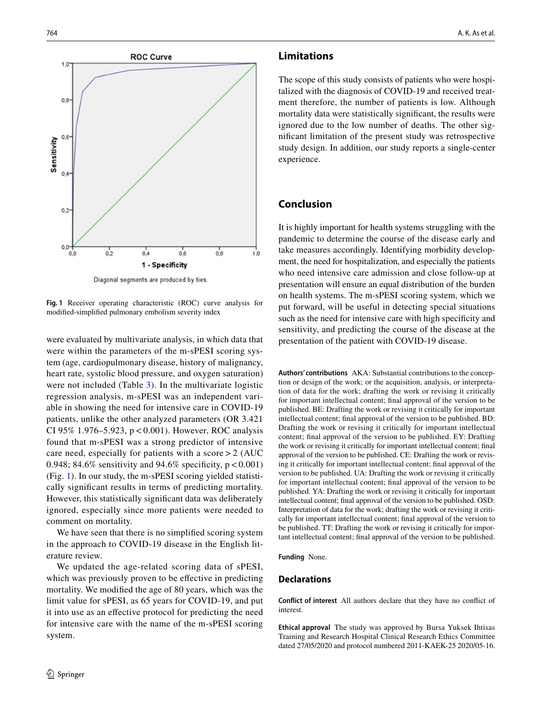

Diagonal segments are produced by ties

<span id="page-5-0"></span>**Fig. 1** Receiver operating characteristic (ROC) curve analysis for modifed-simplifed pulmonary embolism severity index

were evaluated by multivariate analysis, in which data that were within the parameters of the m-sPESI scoring system (age, cardiopulmonary disease, history of malignancy, heart rate, systolic blood pressure, and oxygen saturation) were not included (Table [3](#page-3-0)). In the multivariate logistic regression analysis, m-sPESI was an independent variable in showing the need for intensive care in COVID-19 patients, unlike the other analyzed parameters (OR 3.421 CI 95% 1.976–5.923,  $p < 0.001$ ). However, ROC analysis found that m-sPESI was a strong predictor of intensive care need, especially for patients with a score  $> 2$  (AUC) 0.948; 84.6% sensitivity and 94.6% specificity,  $p < 0.001$ ) (Fig. [1](#page-5-0)). In our study, the m-sPESI scoring yielded statistically signifcant results in terms of predicting mortality. However, this statistically signifcant data was deliberately ignored, especially since more patients were needed to comment on mortality.

We have seen that there is no simplifed scoring system in the approach to COVID-19 disease in the English literature review.

We updated the age-related scoring data of sPESI, which was previously proven to be effective in predicting mortality. We modifed the age of 80 years, which was the limit value for sPESI, as 65 years for COVID-19, and put it into use as an efective protocol for predicting the need for intensive care with the name of the m-sPESI scoring system.

## **Limitations**

The scope of this study consists of patients who were hospitalized with the diagnosis of COVID-19 and received treatment therefore, the number of patients is low. Although mortality data were statistically signifcant, the results were ignored due to the low number of deaths. The other signifcant limitation of the present study was retrospective study design. In addition, our study reports a single-center experience.

## **Conclusion**

It is highly important for health systems struggling with the pandemic to determine the course of the disease early and take measures accordingly. Identifying morbidity development, the need for hospitalization, and especially the patients who need intensive care admission and close follow-up at presentation will ensure an equal distribution of the burden on health systems. The m-sPESI scoring system, which we put forward, will be useful in detecting special situations such as the need for intensive care with high specifcity and sensitivity, and predicting the course of the disease at the presentation of the patient with COVID-19 disease.

**Authors' contributions** AKA: Substantial contributions to the conception or design of the work; or the acquisition, analysis, or interpretation of data for the work; drafting the work or revising it critically for important intellectual content; fnal approval of the version to be published. BE: Drafting the work or revising it critically for important intellectual content; fnal approval of the version to be published. BD: Drafting the work or revising it critically for important intellectual content; fnal approval of the version to be published. EY: Drafting the work or revising it critically for important intellectual content; fnal approval of the version to be published. CE: Drafting the work or revising it critically for important intellectual content; fnal approval of the version to be published. UA: Drafting the work or revising it critically for important intellectual content; fnal approval of the version to be published. YA: Drafting the work or revising it critically for important intellectual content; fnal approval of the version to be published. OSD: Interpretation of data for the work; drafting the work or revising it critically for important intellectual content; fnal approval of the version to be published. TT: Drafting the work or revising it critically for important intellectual content; fnal approval of the version to be published.

**Funding** None.

## **Declarations**

**Conflict of interest** All authors declare that they have no confict of interest.

**Ethical approval** The study was approved by Bursa Yuksek Ihtisas Training and Research Hospital Clinical Research Ethics Committee dated 27/05/2020 and protocol numbered 2011-KAEK-25 2020/05-16.